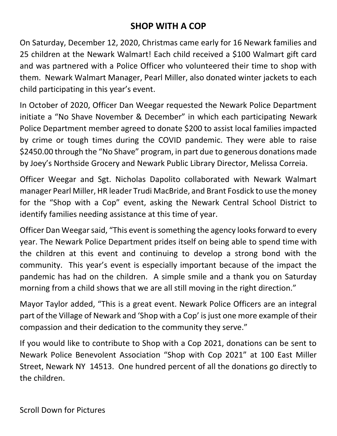## **SHOP WITH A COP**

On Saturday, December 12, 2020, Christmas came early for 16 Newark families and 25 children at the Newark Walmart! Each child received a \$100 Walmart gift card and was partnered with a Police Officer who volunteered their time to shop with them. Newark Walmart Manager, Pearl Miller, also donated winter jackets to each child participating in this year's event.

In October of 2020, Officer Dan Weegar requested the Newark Police Department initiate a "No Shave November & December" in which each participating Newark Police Department member agreed to donate \$200 to assist local families impacted by crime or tough times during the COVID pandemic. They were able to raise \$2450.00 through the "No Shave" program, in part due to generous donations made by Joey's Northside Grocery and Newark Public Library Director, Melissa Correia.

Officer Weegar and Sgt. Nicholas Dapolito collaborated with Newark Walmart manager Pearl Miller, HR leader Trudi MacBride, and Brant Fosdick to use the money for the "Shop with a Cop" event, asking the Newark Central School District to identify families needing assistance at this time of year.

Officer Dan Weegar said, "This event is something the agency looks forward to every year. The Newark Police Department prides itself on being able to spend time with the children at this event and continuing to develop a strong bond with the community. This year's event is especially important because of the impact the pandemic has had on the children. A simple smile and a thank you on Saturday morning from a child shows that we are all still moving in the right direction."

Mayor Taylor added, "This is a great event. Newark Police Officers are an integral part of the Village of Newark and 'Shop with a Cop' is just one more example of their compassion and their dedication to the community they serve."

If you would like to contribute to Shop with a Cop 2021, donations can be sent to Newark Police Benevolent Association "Shop with Cop 2021" at 100 East Miller Street, Newark NY 14513. One hundred percent of all the donations go directly to the children.

Scroll Down for Pictures